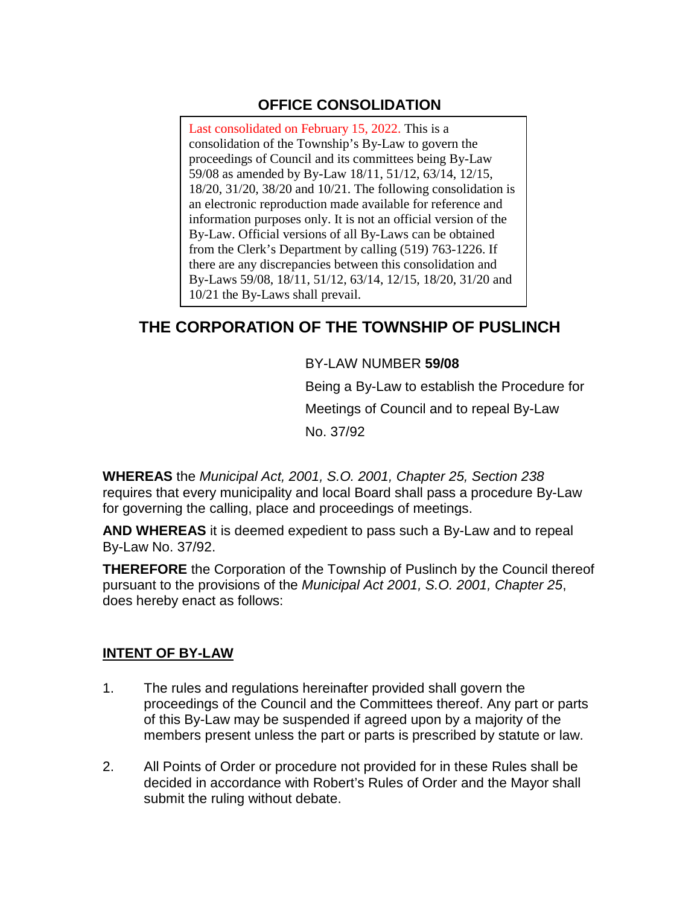## **OFFICE CONSOLIDATION**

Last consolidated on February 15, 2022. This is a consolidation of the Township's By-Law to govern the proceedings of Council and its committees being By-Law 59/08 as amended by By-Law 18/11, 51/12, 63/14, 12/15, 18/20, 31/20, 38/20 and 10/21. The following consolidation is an electronic reproduction made available for reference and information purposes only. It is not an official version of the By-Law. Official versions of all By-Laws can be obtained from the Clerk's Department by calling (519) 763-1226. If there are any discrepancies between this consolidation and By-Laws 59/08, 18/11, 51/12, 63/14, 12/15, 18/20, 31/20 and 10/21 the By-Laws shall prevail.

# **THE CORPORATION OF THE TOWNSHIP OF PUSLINCH**

### BY-LAW NUMBER **59/08**

Being a By-Law to establish the Procedure for Meetings of Council and to repeal By-Law No. 37/92

**WHEREAS** the *Municipal Act, 2001, S.O. 2001, Chapter 25, Section 238*  requires that every municipality and local Board shall pass a procedure By-Law for governing the calling, place and proceedings of meetings.

**AND WHEREAS** it is deemed expedient to pass such a By-Law and to repeal By-Law No. 37/92.

**THEREFORE** the Corporation of the Township of Puslinch by the Council thereof pursuant to the provisions of the *Municipal Act 2001, S.O. 2001, Chapter 25*, does hereby enact as follows:

#### **INTENT OF BY-LAW**

- 1. The rules and regulations hereinafter provided shall govern the proceedings of the Council and the Committees thereof. Any part or parts of this By-Law may be suspended if agreed upon by a majority of the members present unless the part or parts is prescribed by statute or law.
- 2. All Points of Order or procedure not provided for in these Rules shall be decided in accordance with Robert's Rules of Order and the Mayor shall submit the ruling without debate.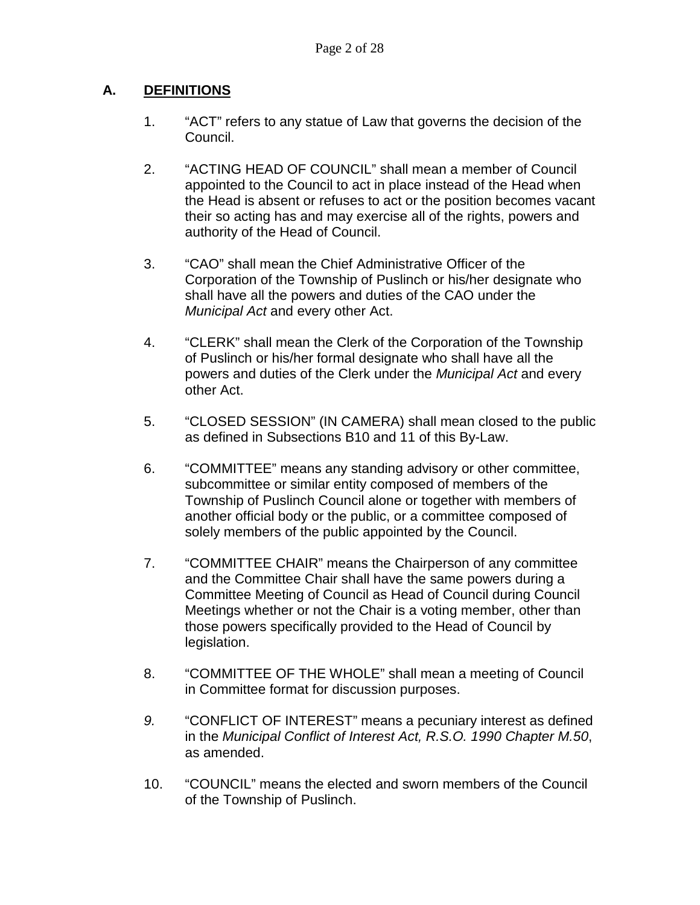## **A. DEFINITIONS**

- 1. "ACT" refers to any statue of Law that governs the decision of the Council.
- 2. "ACTING HEAD OF COUNCIL" shall mean a member of Council appointed to the Council to act in place instead of the Head when the Head is absent or refuses to act or the position becomes vacant their so acting has and may exercise all of the rights, powers and authority of the Head of Council.
- 3. "CAO" shall mean the Chief Administrative Officer of the Corporation of the Township of Puslinch or his/her designate who shall have all the powers and duties of the CAO under the *Municipal Act* and every other Act.
- 4. "CLERK" shall mean the Clerk of the Corporation of the Township of Puslinch or his/her formal designate who shall have all the powers and duties of the Clerk under the *Municipal Act* and every other Act.
- 5. "CLOSED SESSION" (IN CAMERA) shall mean closed to the public as defined in Subsections B10 and 11 of this By-Law.
- 6. "COMMITTEE" means any standing advisory or other committee, subcommittee or similar entity composed of members of the Township of Puslinch Council alone or together with members of another official body or the public, or a committee composed of solely members of the public appointed by the Council.
- 7. "COMMITTEE CHAIR" means the Chairperson of any committee and the Committee Chair shall have the same powers during a Committee Meeting of Council as Head of Council during Council Meetings whether or not the Chair is a voting member, other than those powers specifically provided to the Head of Council by legislation.
- 8. "COMMITTEE OF THE WHOLE" shall mean a meeting of Council in Committee format for discussion purposes.
- *9.* "CONFLICT OF INTEREST" means a pecuniary interest as defined in the *Municipal Conflict of Interest Act, R.S.O. 1990 Chapter M.50*, as amended.
- 10. "COUNCIL" means the elected and sworn members of the Council of the Township of Puslinch.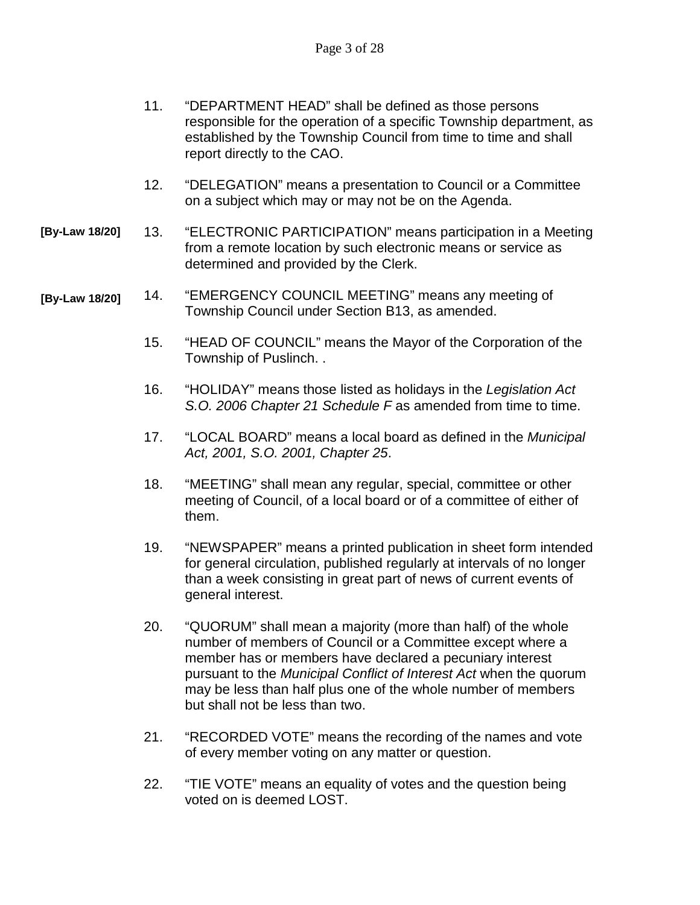|                | 11. | "DEPARTMENT HEAD" shall be defined as those persons<br>responsible for the operation of a specific Township department, as<br>established by the Township Council from time to time and shall<br>report directly to the CAO. |
|----------------|-----|------------------------------------------------------------------------------------------------------------------------------------------------------------------------------------------------------------------------------|
|                | 12. | "DELEGATION" means a presentation to Council or a Committee<br>on a subject which may or may not be on the Agenda.                                                                                                           |
| [By-Law 18/20] | 13. | "ELECTRONIC PARTICIPATION" means participation in a Meeting<br>from a remote location by such electronic means or service as<br>determined and provided by the Clerk.                                                        |
| [By-Law 18/20] | 14. | "EMERGENCY COUNCIL MEETING" means any meeting of<br>Township Council under Section B13, as amended.                                                                                                                          |
|                | 15. | "HEAD OF COUNCIL" means the Mayor of the Corporation of the<br>Township of Puslinch                                                                                                                                          |

- 16. "HOLIDAY" means those listed as holidays in the *Legislation Act S.O. 2006 Chapter 21 Schedule F* as amended from time to time.
- 17. "LOCAL BOARD" means a local board as defined in the *Municipal Act, 2001, S.O. 2001, Chapter 25*.
- 18. "MEETING" shall mean any regular, special, committee or other meeting of Council, of a local board or of a committee of either of them.
- 19. "NEWSPAPER" means a printed publication in sheet form intended for general circulation, published regularly at intervals of no longer than a week consisting in great part of news of current events of general interest.
- 20. "QUORUM" shall mean a majority (more than half) of the whole number of members of Council or a Committee except where a member has or members have declared a pecuniary interest pursuant to the *Municipal Conflict of Interest Act* when the quorum may be less than half plus one of the whole number of members but shall not be less than two.
- 21. "RECORDED VOTE" means the recording of the names and vote of every member voting on any matter or question.
- 22. "TIE VOTE" means an equality of votes and the question being voted on is deemed LOST.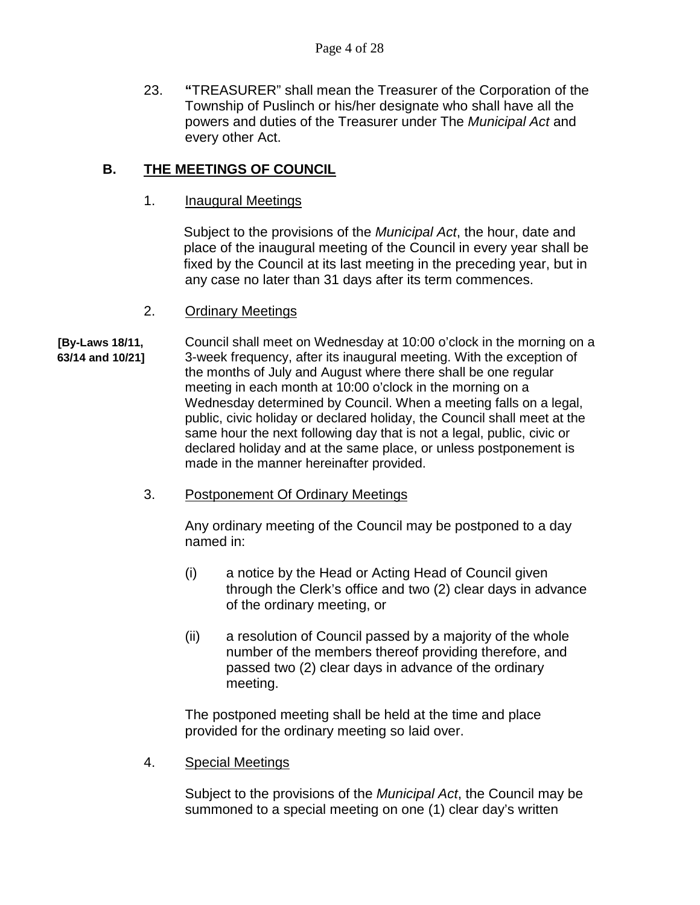23. **"**TREASURER" shall mean the Treasurer of the Corporation of the Township of Puslinch or his/her designate who shall have all the powers and duties of the Treasurer under The *Municipal Act* and every other Act.

## **B. THE MEETINGS OF COUNCIL**

1. **Inaugural Meetings** 

Subject to the provisions of the *Municipal Act*, the hour, date and place of the inaugural meeting of the Council in every year shall be fixed by the Council at its last meeting in the preceding year, but in any case no later than 31 days after its term commences.

- 2. Ordinary Meetings
- **[By-Laws 18/11,** Council shall meet on Wednesday at 10:00 o'clock in the morning on a **63/14 and 10/21]** 3-week frequency, after its inaugural meeting. With the exception of the months of July and August where there shall be one regular meeting in each month at 10:00 o'clock in the morning on a Wednesday determined by Council. When a meeting falls on a legal, public, civic holiday or declared holiday, the Council shall meet at the same hour the next following day that is not a legal, public, civic or declared holiday and at the same place, or unless postponement is made in the manner hereinafter provided.
	- 3. Postponement Of Ordinary Meetings

Any ordinary meeting of the Council may be postponed to a day named in:

- (i) a notice by the Head or Acting Head of Council given through the Clerk's office and two (2) clear days in advance of the ordinary meeting, or
- (ii) a resolution of Council passed by a majority of the whole number of the members thereof providing therefore, and passed two (2) clear days in advance of the ordinary meeting.

The postponed meeting shall be held at the time and place provided for the ordinary meeting so laid over.

4. Special Meetings

Subject to the provisions of the *Municipal Act*, the Council may be summoned to a special meeting on one (1) clear day's written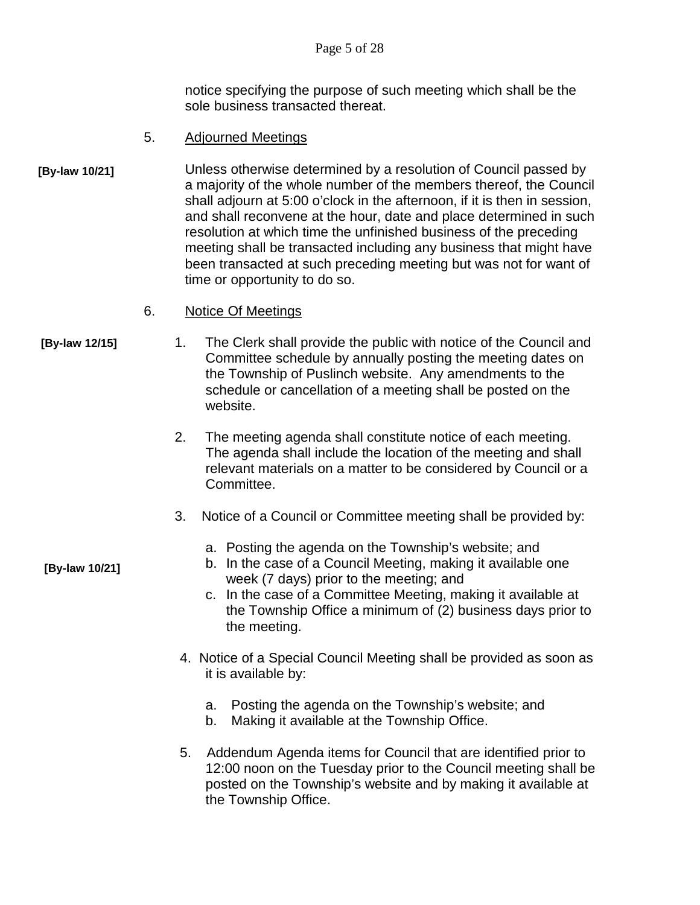notice specifying the purpose of such meeting which shall be the sole business transacted thereat.

- 5. Adjourned Meetings
- Unless otherwise determined by a resolution of Council passed by a majority of the whole number of the members thereof, the Council shall adjourn at 5:00 o'clock in the afternoon, if it is then in session, and shall reconvene at the hour, date and place determined in such resolution at which time the unfinished business of the preceding meeting shall be transacted including any business that might have been transacted at such preceding meeting but was not for want of time or opportunity to do so. **[By-law 10/21]**
	- 6. Notice Of Meetings
- 

**[By-law 10/21]**

- **[By-law 12/15]** 1. The Clerk shall provide the public with notice of the Council and Committee schedule by annually posting the meeting dates on the Township of Puslinch website. Any amendments to the schedule or cancellation of a meeting shall be posted on the website.
	- 2. The meeting agenda shall constitute notice of each meeting. The agenda shall include the location of the meeting and shall relevant materials on a matter to be considered by Council or a Committee.
	- 3. Notice of a Council or Committee meeting shall be provided by:
		- a. Posting the agenda on the Township's website; and
		- b. In the case of a Council Meeting, making it available one week (7 days) prior to the meeting; and
		- c. In the case of a Committee Meeting, making it available at the Township Office a minimum of (2) business days prior to the meeting.
	- 4. Notice of a Special Council Meeting shall be provided as soon as it is available by:
		- a. Posting the agenda on the Township's website; and
		- b. Making it available at the Township Office.
	- 5. Addendum Agenda items for Council that are identified prior to 12:00 noon on the Tuesday prior to the Council meeting shall be posted on the Township's website and by making it available at the Township Office.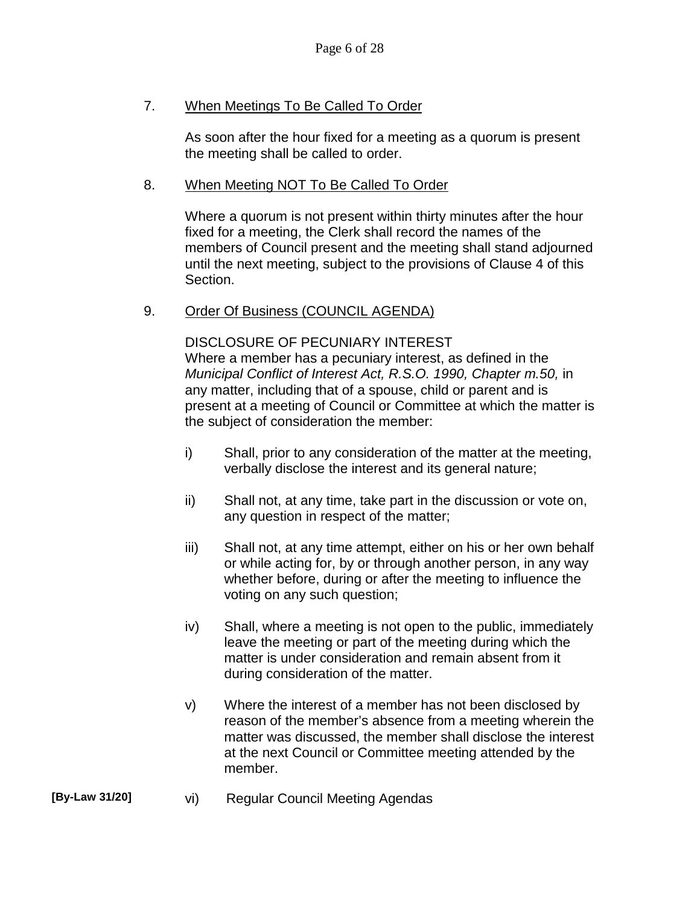## 7. When Meetings To Be Called To Order

As soon after the hour fixed for a meeting as a quorum is present the meeting shall be called to order.

### 8. When Meeting NOT To Be Called To Order

Where a quorum is not present within thirty minutes after the hour fixed for a meeting, the Clerk shall record the names of the members of Council present and the meeting shall stand adjourned until the next meeting, subject to the provisions of Clause 4 of this Section.

### 9. Order Of Business (COUNCIL AGENDA)

DISCLOSURE OF PECUNIARY INTEREST Where a member has a pecuniary interest, as defined in the *Municipal Conflict of Interest Act, R.S.O. 1990, Chapter m.50,* in any matter, including that of a spouse, child or parent and is present at a meeting of Council or Committee at which the matter is the subject of consideration the member:

- i) Shall, prior to any consideration of the matter at the meeting, verbally disclose the interest and its general nature;
- ii) Shall not, at any time, take part in the discussion or vote on, any question in respect of the matter;
- iii) Shall not, at any time attempt, either on his or her own behalf or while acting for, by or through another person, in any way whether before, during or after the meeting to influence the voting on any such question;
- iv) Shall, where a meeting is not open to the public, immediately leave the meeting or part of the meeting during which the matter is under consideration and remain absent from it during consideration of the matter.
- v) Where the interest of a member has not been disclosed by reason of the member's absence from a meeting wherein the matter was discussed, the member shall disclose the interest at the next Council or Committee meeting attended by the member.

#### **[By-Law 31/20]** vi) Regular Council Meeting Agendas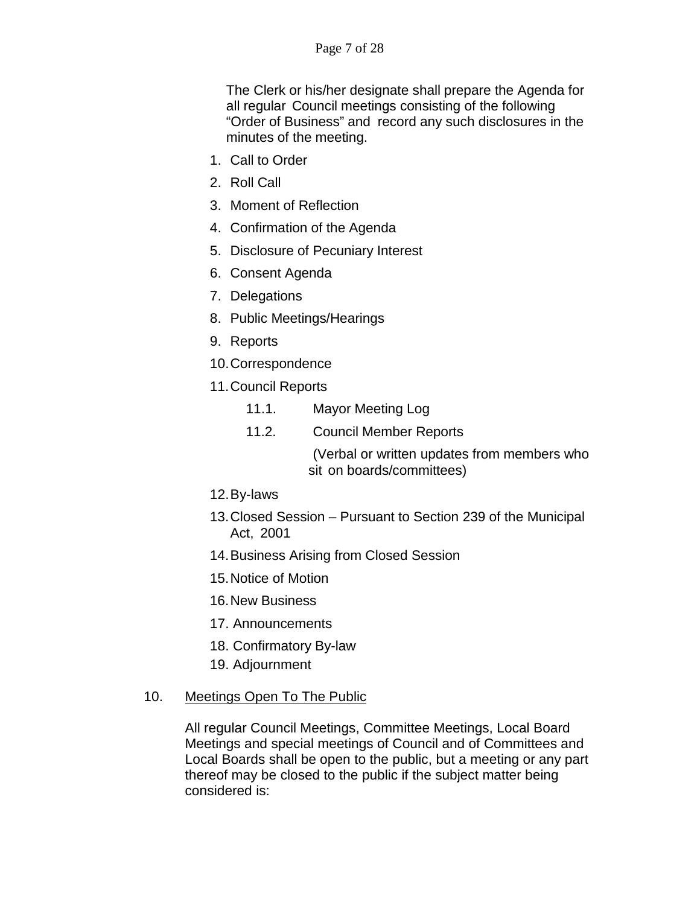The Clerk or his/her designate shall prepare the Agenda for all regular Council meetings consisting of the following "Order of Business" and record any such disclosures in the minutes of the meeting.

- 1. Call to Order
- 2. Roll Call
- 3. Moment of Reflection
- 4. Confirmation of the Agenda
- 5. Disclosure of Pecuniary Interest
- 6. Consent Agenda
- 7. Delegations
- 8. Public Meetings/Hearings
- 9. Reports
- 10.Correspondence
- 11.Council Reports
	- 11.1. Mayor Meeting Log
	- 11.2. Council Member Reports

(Verbal or written updates from members who sit on boards/committees)

- 12.By-laws
- 13.Closed Session Pursuant to Section 239 of the Municipal Act, 2001
- 14.Business Arising from Closed Session
- 15.Notice of Motion
- 16.New Business
- 17. Announcements
- 18. Confirmatory By-law
- 19. Adjournment

#### 10. Meetings Open To The Public

All regular Council Meetings, Committee Meetings, Local Board Meetings and special meetings of Council and of Committees and Local Boards shall be open to the public, but a meeting or any part thereof may be closed to the public if the subject matter being considered is: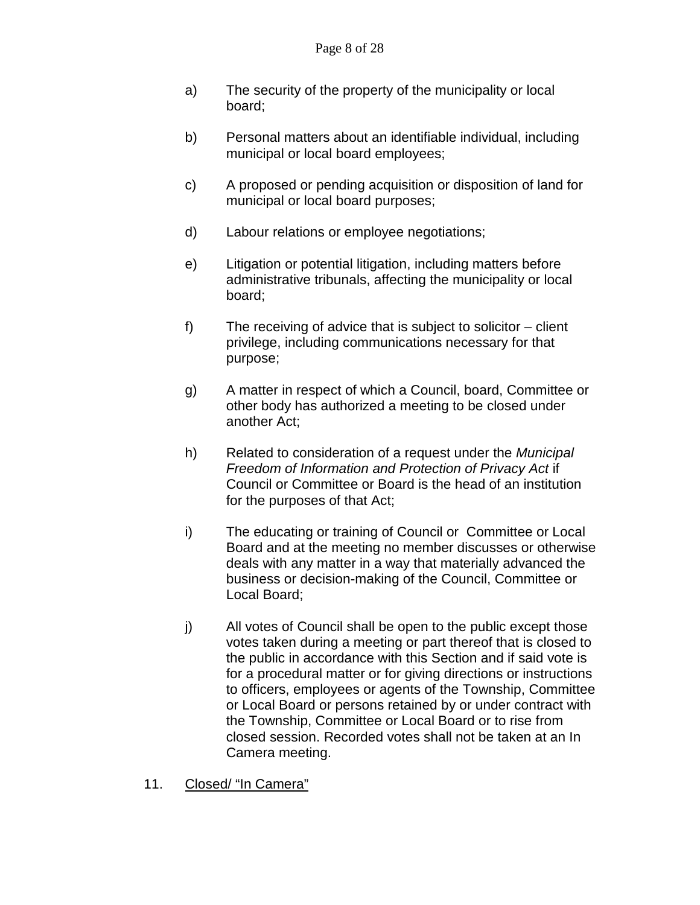- a) The security of the property of the municipality or local board;
- b) Personal matters about an identifiable individual, including municipal or local board employees;
- c) A proposed or pending acquisition or disposition of land for municipal or local board purposes;
- d) Labour relations or employee negotiations;
- e) Litigation or potential litigation, including matters before administrative tribunals, affecting the municipality or local board;
- f) The receiving of advice that is subject to solicitor client privilege, including communications necessary for that purpose;
- g) A matter in respect of which a Council, board, Committee or other body has authorized a meeting to be closed under another Act;
- h) Related to consideration of a request under the *Municipal Freedom of Information and Protection of Privacy Act* if Council or Committee or Board is the head of an institution for the purposes of that Act;
- i) The educating or training of Council or Committee or Local Board and at the meeting no member discusses or otherwise deals with any matter in a way that materially advanced the business or decision-making of the Council, Committee or Local Board;
- j) All votes of Council shall be open to the public except those votes taken during a meeting or part thereof that is closed to the public in accordance with this Section and if said vote is for a procedural matter or for giving directions or instructions to officers, employees or agents of the Township, Committee or Local Board or persons retained by or under contract with the Township, Committee or Local Board or to rise from closed session. Recorded votes shall not be taken at an In Camera meeting.
- 11. Closed/ "In Camera"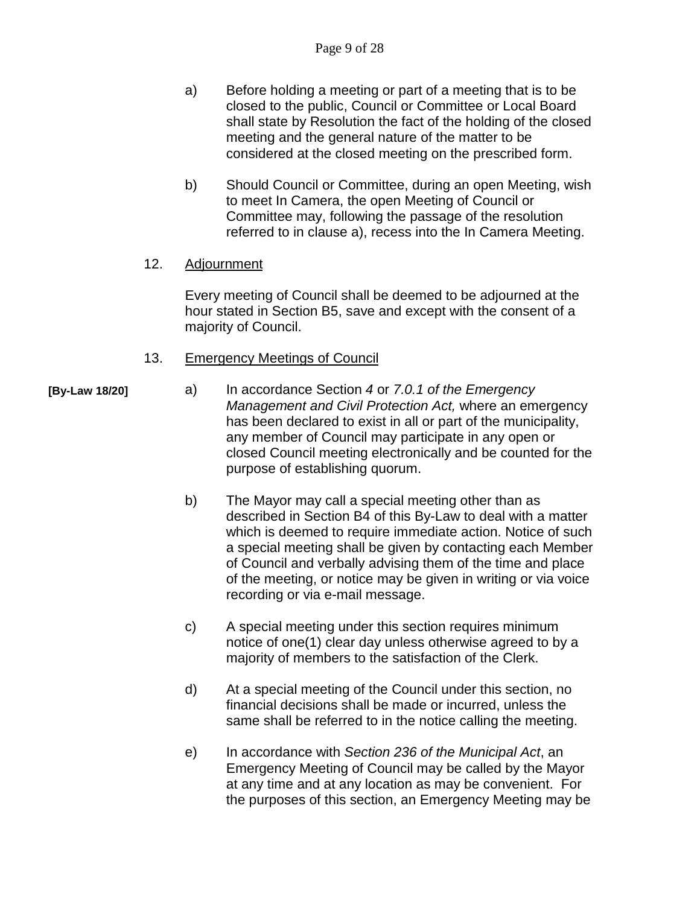- a) Before holding a meeting or part of a meeting that is to be closed to the public, Council or Committee or Local Board shall state by Resolution the fact of the holding of the closed meeting and the general nature of the matter to be considered at the closed meeting on the prescribed form.
- b) Should Council or Committee, during an open Meeting, wish to meet In Camera, the open Meeting of Council or Committee may, following the passage of the resolution referred to in clause a), recess into the In Camera Meeting.

#### 12. Adjournment

Every meeting of Council shall be deemed to be adjourned at the hour stated in Section B5, save and except with the consent of a majority of Council.

#### 13. Emergency Meetings of Council

- a) In accordance Section *4* or *7.0.1 of the Emergency Management and Civil Protection Act,* where an emergency has been declared to exist in all or part of the municipality, any member of Council may participate in any open or closed Council meeting electronically and be counted for the purpose of establishing quorum.
	- b) The Mayor may call a special meeting other than as described in Section B4 of this By-Law to deal with a matter which is deemed to require immediate action. Notice of such a special meeting shall be given by contacting each Member of Council and verbally advising them of the time and place of the meeting, or notice may be given in writing or via voice recording or via e-mail message.
	- c) A special meeting under this section requires minimum notice of one(1) clear day unless otherwise agreed to by a majority of members to the satisfaction of the Clerk.
	- d) At a special meeting of the Council under this section, no financial decisions shall be made or incurred, unless the same shall be referred to in the notice calling the meeting.
	- e) In accordance with *Section 236 of the Municipal Act*, an Emergency Meeting of Council may be called by the Mayor at any time and at any location as may be convenient. For the purposes of this section, an Emergency Meeting may be

**[By-Law 18/20]**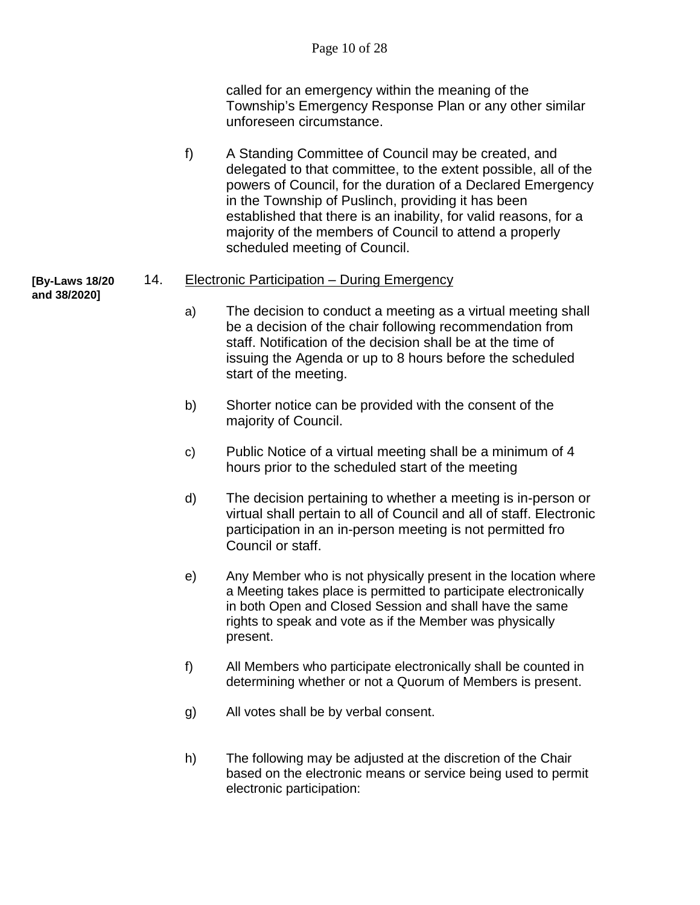called for an emergency within the meaning of the Township's Emergency Response Plan or any other similar unforeseen circumstance.

f) A Standing Committee of Council may be created, and delegated to that committee, to the extent possible, all of the powers of Council, for the duration of a Declared Emergency in the Township of Puslinch, providing it has been established that there is an inability, for valid reasons, for a majority of the members of Council to attend a properly scheduled meeting of Council.

#### **[By-Laws 18/20**  14. Electronic Participation – During Emergency

- **and 38/2020]**
- a) The decision to conduct a meeting as a virtual meeting shall be a decision of the chair following recommendation from staff. Notification of the decision shall be at the time of issuing the Agenda or up to 8 hours before the scheduled start of the meeting.
- b) Shorter notice can be provided with the consent of the majority of Council.
- c) Public Notice of a virtual meeting shall be a minimum of 4 hours prior to the scheduled start of the meeting
- d) The decision pertaining to whether a meeting is in-person or virtual shall pertain to all of Council and all of staff. Electronic participation in an in-person meeting is not permitted fro Council or staff.
- e) Any Member who is not physically present in the location where a Meeting takes place is permitted to participate electronically in both Open and Closed Session and shall have the same rights to speak and vote as if the Member was physically present.
- f) All Members who participate electronically shall be counted in determining whether or not a Quorum of Members is present.
- g) All votes shall be by verbal consent.
- h) The following may be adjusted at the discretion of the Chair based on the electronic means or service being used to permit electronic participation: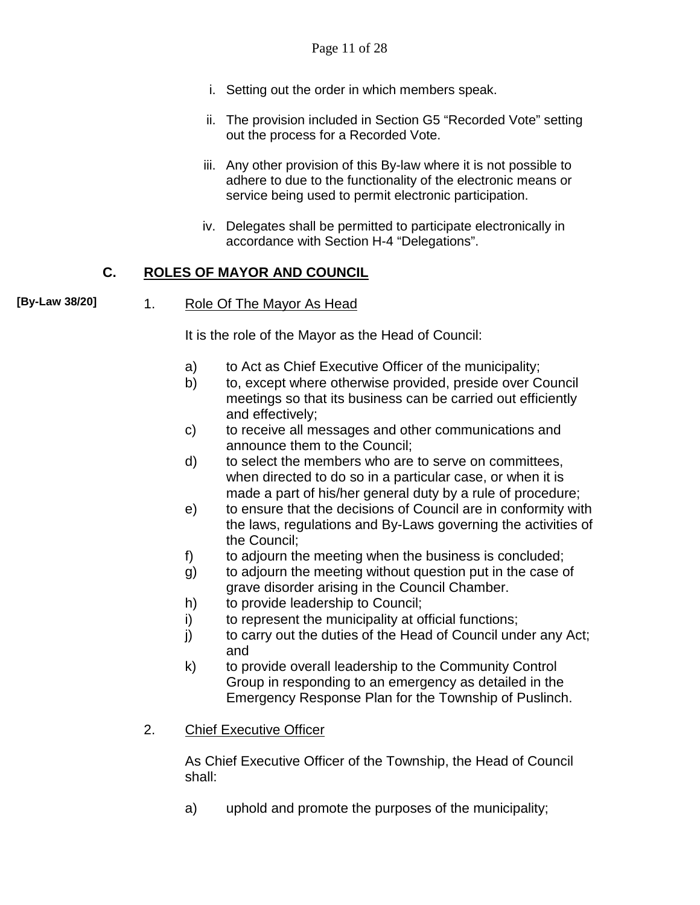- i. Setting out the order in which members speak.
- ii. The provision included in Section G5 "Recorded Vote" setting out the process for a Recorded Vote.
- iii. Any other provision of this By-law where it is not possible to adhere to due to the functionality of the electronic means or service being used to permit electronic participation.
- iv. Delegates shall be permitted to participate electronically in accordance with Section H-4 "Delegations".

## **C. ROLES OF MAYOR AND COUNCIL**

**[By-Law 38/20]**

#### 1. Role Of The Mayor As Head

It is the role of the Mayor as the Head of Council:

- a) to Act as Chief Executive Officer of the municipality;
- b) to, except where otherwise provided, preside over Council meetings so that its business can be carried out efficiently and effectively;
- c) to receive all messages and other communications and announce them to the Council;
- d) to select the members who are to serve on committees, when directed to do so in a particular case, or when it is made a part of his/her general duty by a rule of procedure;
- e) to ensure that the decisions of Council are in conformity with the laws, regulations and By-Laws governing the activities of the Council;
- f) to adjourn the meeting when the business is concluded;
- g) to adjourn the meeting without question put in the case of grave disorder arising in the Council Chamber.
- h) to provide leadership to Council;
- i) to represent the municipality at official functions;
- j) to carry out the duties of the Head of Council under any Act; and
- k) to provide overall leadership to the Community Control Group in responding to an emergency as detailed in the Emergency Response Plan for the Township of Puslinch.
- 2. Chief Executive Officer

As Chief Executive Officer of the Township, the Head of Council shall:

a) uphold and promote the purposes of the municipality;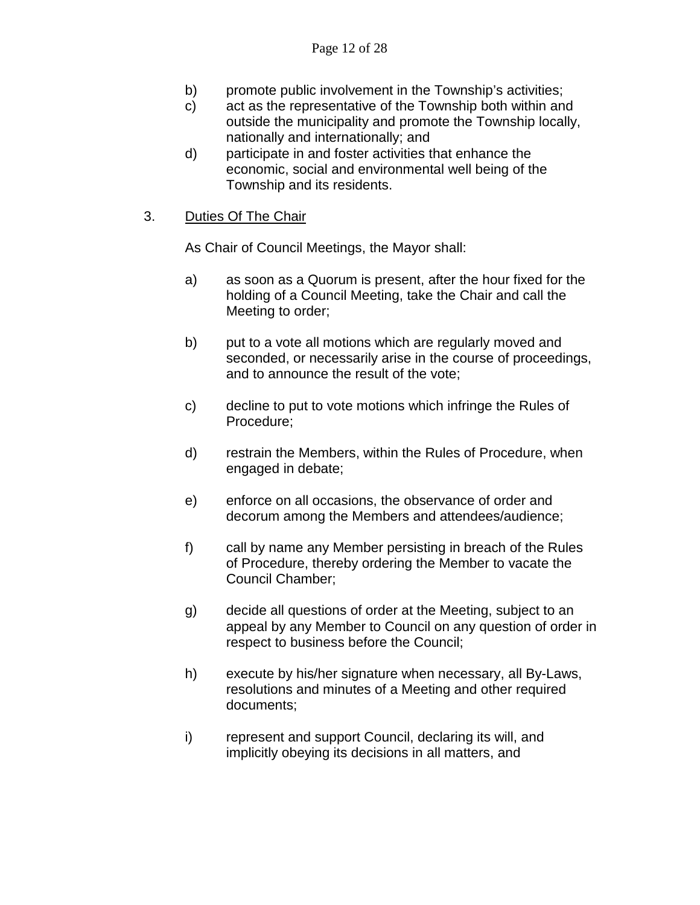- b) promote public involvement in the Township's activities;
- c) act as the representative of the Township both within and outside the municipality and promote the Township locally, nationally and internationally; and
- d) participate in and foster activities that enhance the economic, social and environmental well being of the Township and its residents.
- 3. Duties Of The Chair

As Chair of Council Meetings, the Mayor shall:

- a) as soon as a Quorum is present, after the hour fixed for the holding of a Council Meeting, take the Chair and call the Meeting to order;
- b) put to a vote all motions which are regularly moved and seconded, or necessarily arise in the course of proceedings, and to announce the result of the vote;
- c) decline to put to vote motions which infringe the Rules of Procedure;
- d) restrain the Members, within the Rules of Procedure, when engaged in debate;
- e) enforce on all occasions, the observance of order and decorum among the Members and attendees/audience;
- f) call by name any Member persisting in breach of the Rules of Procedure, thereby ordering the Member to vacate the Council Chamber;
- g) decide all questions of order at the Meeting, subject to an appeal by any Member to Council on any question of order in respect to business before the Council;
- h) execute by his/her signature when necessary, all By-Laws, resolutions and minutes of a Meeting and other required documents;
- i) represent and support Council, declaring its will, and implicitly obeying its decisions in all matters, and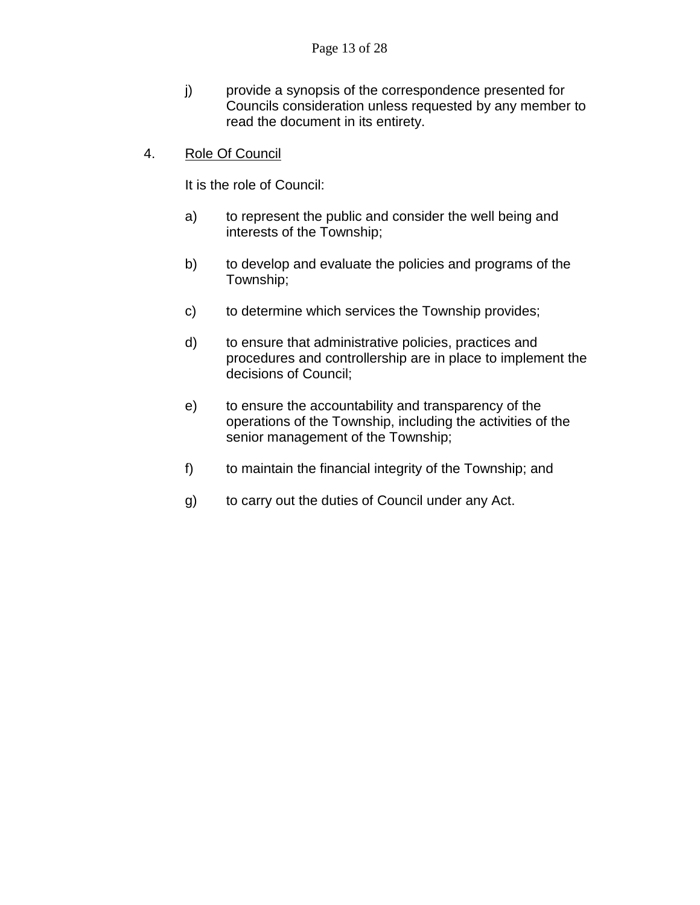- j) provide a synopsis of the correspondence presented for Councils consideration unless requested by any member to read the document in its entirety.
- 4. Role Of Council

It is the role of Council:

- a) to represent the public and consider the well being and interests of the Township;
- b) to develop and evaluate the policies and programs of the Township;
- c) to determine which services the Township provides;
- d) to ensure that administrative policies, practices and procedures and controllership are in place to implement the decisions of Council;
- e) to ensure the accountability and transparency of the operations of the Township, including the activities of the senior management of the Township;
- f) to maintain the financial integrity of the Township; and
- g) to carry out the duties of Council under any Act.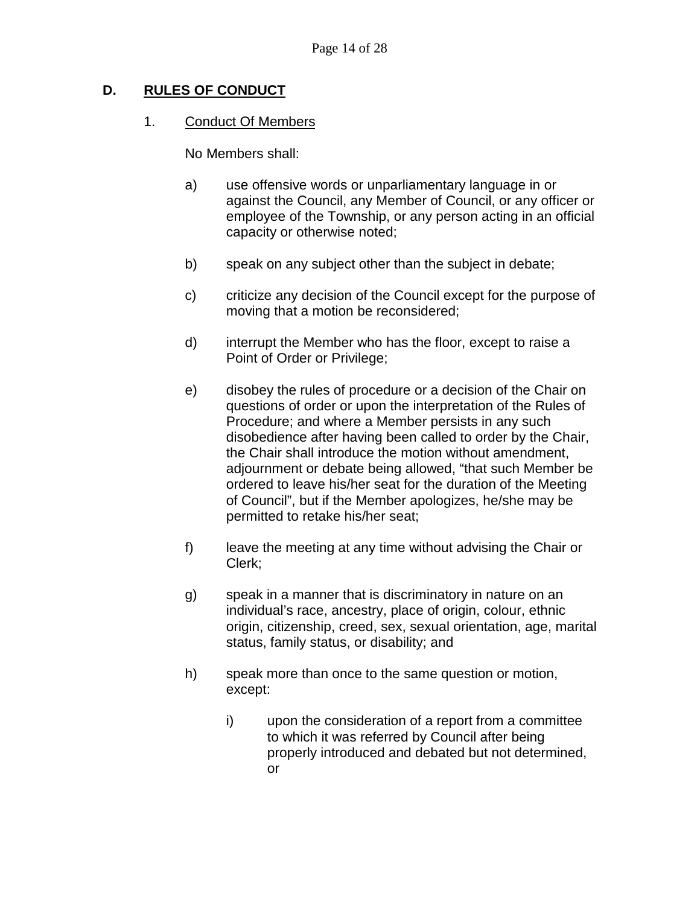## **D. RULES OF CONDUCT**

#### 1. Conduct Of Members

No Members shall:

- a) use offensive words or unparliamentary language in or against the Council, any Member of Council, or any officer or employee of the Township, or any person acting in an official capacity or otherwise noted;
- b) speak on any subject other than the subject in debate;
- c) criticize any decision of the Council except for the purpose of moving that a motion be reconsidered;
- d) interrupt the Member who has the floor, except to raise a Point of Order or Privilege;
- e) disobey the rules of procedure or a decision of the Chair on questions of order or upon the interpretation of the Rules of Procedure; and where a Member persists in any such disobedience after having been called to order by the Chair, the Chair shall introduce the motion without amendment, adjournment or debate being allowed, "that such Member be ordered to leave his/her seat for the duration of the Meeting of Council", but if the Member apologizes, he/she may be permitted to retake his/her seat;
- f) leave the meeting at any time without advising the Chair or Clerk;
- g) speak in a manner that is discriminatory in nature on an individual's race, ancestry, place of origin, colour, ethnic origin, citizenship, creed, sex, sexual orientation, age, marital status, family status, or disability; and
- h) speak more than once to the same question or motion, except:
	- i) upon the consideration of a report from a committee to which it was referred by Council after being properly introduced and debated but not determined, or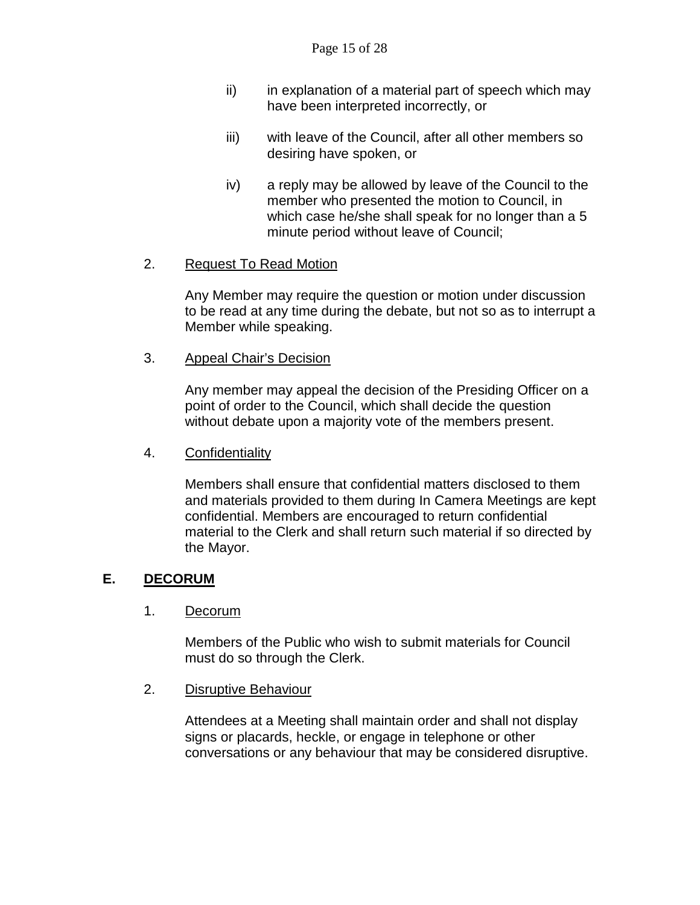- ii) in explanation of a material part of speech which may have been interpreted incorrectly, or
- iii) with leave of the Council, after all other members so desiring have spoken, or
- iv) a reply may be allowed by leave of the Council to the member who presented the motion to Council, in which case he/she shall speak for no longer than a 5 minute period without leave of Council;

### 2. Request To Read Motion

Any Member may require the question or motion under discussion to be read at any time during the debate, but not so as to interrupt a Member while speaking.

3. Appeal Chair's Decision

Any member may appeal the decision of the Presiding Officer on a point of order to the Council, which shall decide the question without debate upon a majority vote of the members present.

#### 4. Confidentiality

Members shall ensure that confidential matters disclosed to them and materials provided to them during In Camera Meetings are kept confidential. Members are encouraged to return confidential material to the Clerk and shall return such material if so directed by the Mayor.

#### **E. DECORUM**

#### 1. Decorum

Members of the Public who wish to submit materials for Council must do so through the Clerk.

#### 2. Disruptive Behaviour

Attendees at a Meeting shall maintain order and shall not display signs or placards, heckle, or engage in telephone or other conversations or any behaviour that may be considered disruptive.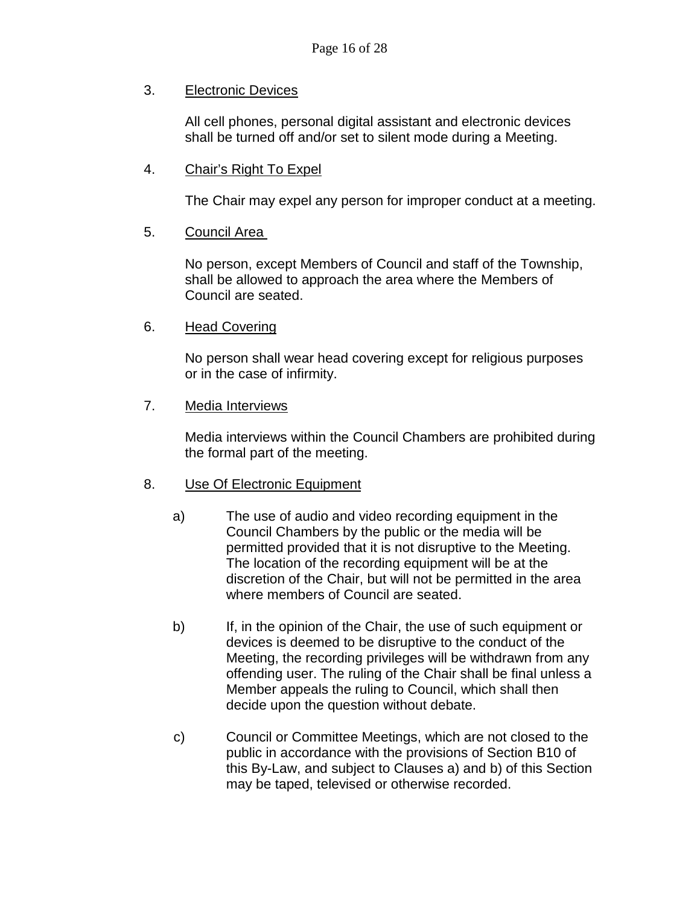#### 3. Electronic Devices

All cell phones, personal digital assistant and electronic devices shall be turned off and/or set to silent mode during a Meeting.

### 4. Chair's Right To Expel

The Chair may expel any person for improper conduct at a meeting.

### 5. Council Area

No person, except Members of Council and staff of the Township, shall be allowed to approach the area where the Members of Council are seated.

#### 6. Head Covering

No person shall wear head covering except for religious purposes or in the case of infirmity.

#### 7. Media Interviews

Media interviews within the Council Chambers are prohibited during the formal part of the meeting.

#### 8. Use Of Electronic Equipment

- a) The use of audio and video recording equipment in the Council Chambers by the public or the media will be permitted provided that it is not disruptive to the Meeting. The location of the recording equipment will be at the discretion of the Chair, but will not be permitted in the area where members of Council are seated.
- b) If, in the opinion of the Chair, the use of such equipment or devices is deemed to be disruptive to the conduct of the Meeting, the recording privileges will be withdrawn from any offending user. The ruling of the Chair shall be final unless a Member appeals the ruling to Council, which shall then decide upon the question without debate.
- c) Council or Committee Meetings, which are not closed to the public in accordance with the provisions of Section B10 of this By-Law, and subject to Clauses a) and b) of this Section may be taped, televised or otherwise recorded.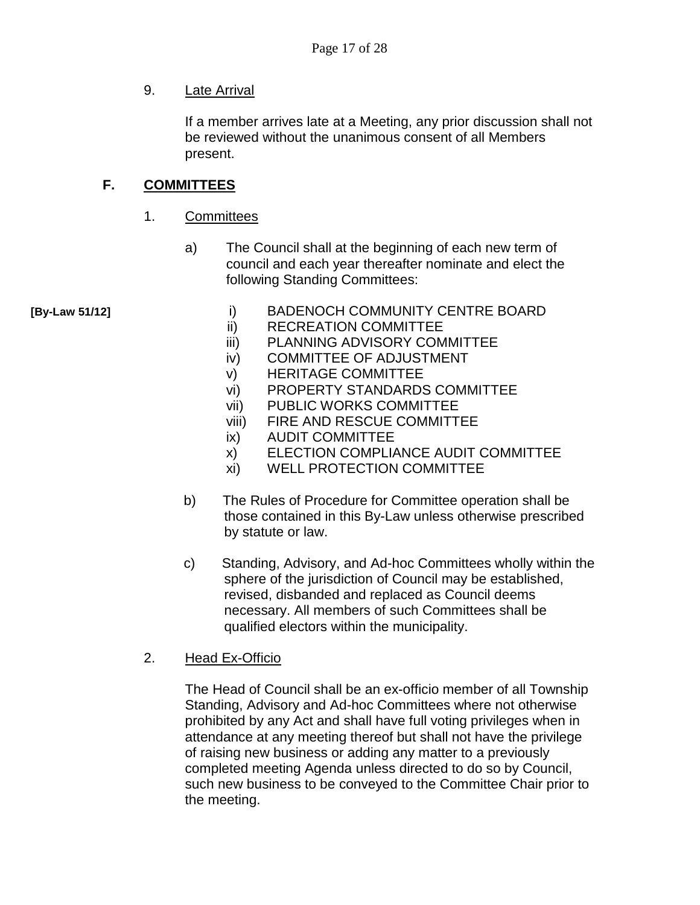#### 9. Late Arrival

If a member arrives late at a Meeting, any prior discussion shall not be reviewed without the unanimous consent of all Members present.

### **F. COMMITTEES**

- 1. Committees
	- a) The Council shall at the beginning of each new term of council and each year thereafter nominate and elect the following Standing Committees:

- **[By-Law 51/12]** i) BADENOCH COMMUNITY CENTRE BOARD
	- ii) RECREATION COMMITTEE
	- iii) PLANNING ADVISORY COMMITTEE
	- iv) COMMITTEE OF ADJUSTMENT
	- v) HERITAGE COMMITTEE
	- vi) PROPERTY STANDARDS COMMITTEE
	- vii) PUBLIC WORKS COMMITTEE
	- viii) FIRE AND RESCUE COMMITTEE
	- ix) AUDIT COMMITTEE
	- x) ELECTION COMPLIANCE AUDIT COMMITTEE
	- xi) WELL PROTECTION COMMITTEE
	- b) The Rules of Procedure for Committee operation shall be those contained in this By-Law unless otherwise prescribed by statute or law.
	- c) Standing, Advisory, and Ad-hoc Committees wholly within the sphere of the jurisdiction of Council may be established, revised, disbanded and replaced as Council deems necessary. All members of such Committees shall be qualified electors within the municipality.
	- 2. Head Ex-Officio

The Head of Council shall be an ex-officio member of all Township Standing, Advisory and Ad-hoc Committees where not otherwise prohibited by any Act and shall have full voting privileges when in attendance at any meeting thereof but shall not have the privilege of raising new business or adding any matter to a previously completed meeting Agenda unless directed to do so by Council, such new business to be conveyed to the Committee Chair prior to the meeting.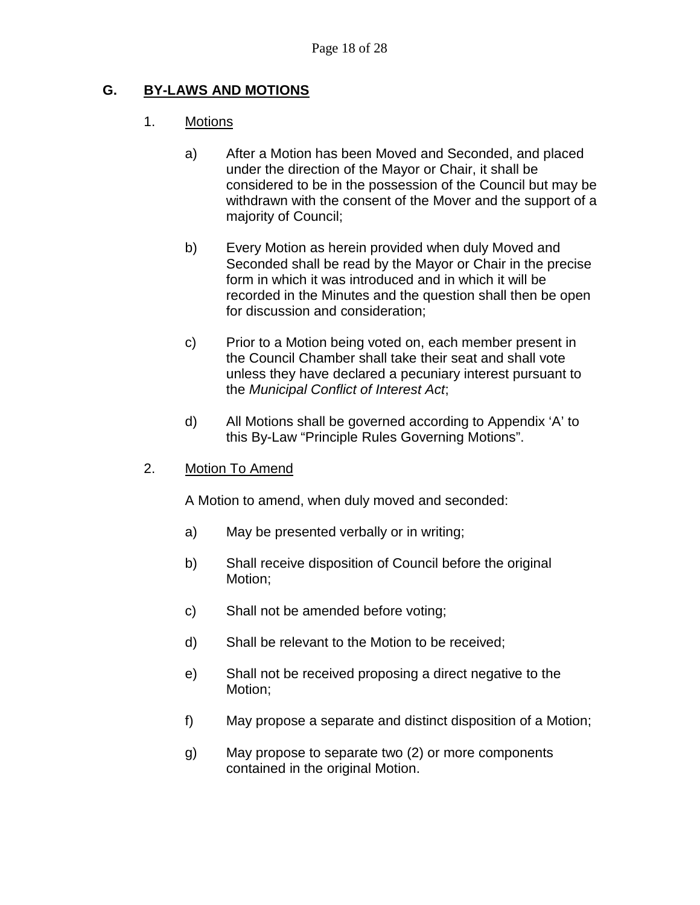### **G. BY-LAWS AND MOTIONS**

#### 1. Motions

- a) After a Motion has been Moved and Seconded, and placed under the direction of the Mayor or Chair, it shall be considered to be in the possession of the Council but may be withdrawn with the consent of the Mover and the support of a majority of Council;
- b) Every Motion as herein provided when duly Moved and Seconded shall be read by the Mayor or Chair in the precise form in which it was introduced and in which it will be recorded in the Minutes and the question shall then be open for discussion and consideration;
- c) Prior to a Motion being voted on, each member present in the Council Chamber shall take their seat and shall vote unless they have declared a pecuniary interest pursuant to the *Municipal Conflict of Interest Act*;
- d) All Motions shall be governed according to Appendix 'A' to this By-Law "Principle Rules Governing Motions".
- 2. Motion To Amend

A Motion to amend, when duly moved and seconded:

- a) May be presented verbally or in writing;
- b) Shall receive disposition of Council before the original Motion;
- c) Shall not be amended before voting;
- d) Shall be relevant to the Motion to be received;
- e) Shall not be received proposing a direct negative to the Motion;
- f) May propose a separate and distinct disposition of a Motion;
- g) May propose to separate two (2) or more components contained in the original Motion.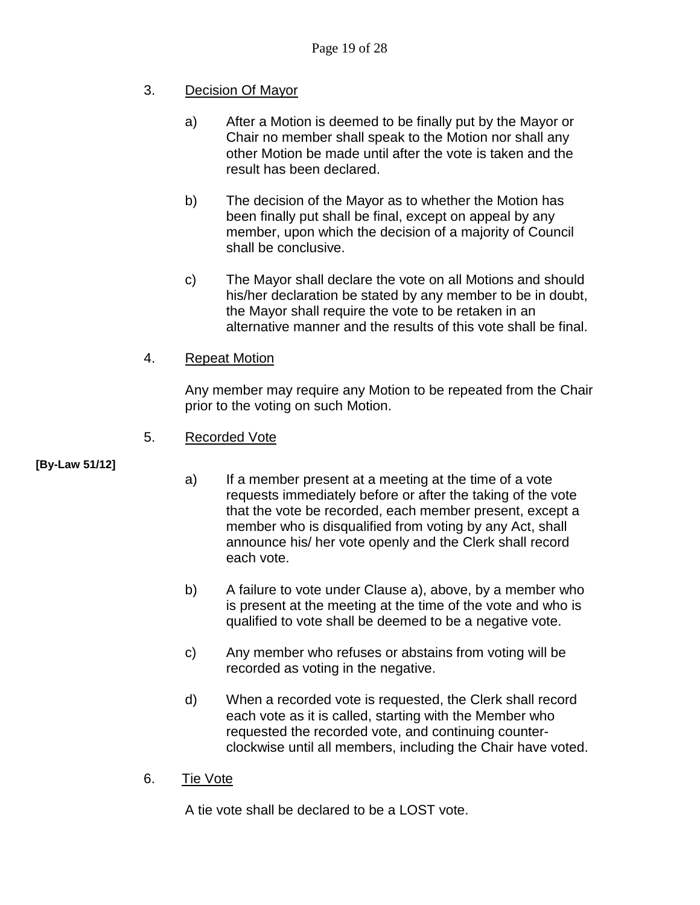## 3. Decision Of Mayor

- a) After a Motion is deemed to be finally put by the Mayor or Chair no member shall speak to the Motion nor shall any other Motion be made until after the vote is taken and the result has been declared.
- b) The decision of the Mayor as to whether the Motion has been finally put shall be final, except on appeal by any member, upon which the decision of a majority of Council shall be conclusive.
- c) The Mayor shall declare the vote on all Motions and should his/her declaration be stated by any member to be in doubt, the Mayor shall require the vote to be retaken in an alternative manner and the results of this vote shall be final.

### 4. Repeat Motion

Any member may require any Motion to be repeated from the Chair prior to the voting on such Motion.

#### 5. Recorded Vote

#### **[By-Law 51/12]**

- a) If a member present at a meeting at the time of a vote requests immediately before or after the taking of the vote that the vote be recorded, each member present, except a member who is disqualified from voting by any Act, shall announce his/ her vote openly and the Clerk shall record each vote.
- b) A failure to vote under Clause a), above, by a member who is present at the meeting at the time of the vote and who is qualified to vote shall be deemed to be a negative vote.
- c) Any member who refuses or abstains from voting will be recorded as voting in the negative.
- d) When a recorded vote is requested, the Clerk shall record each vote as it is called, starting with the Member who requested the recorded vote, and continuing counterclockwise until all members, including the Chair have voted.
- 6. Tie Vote

A tie vote shall be declared to be a LOST vote.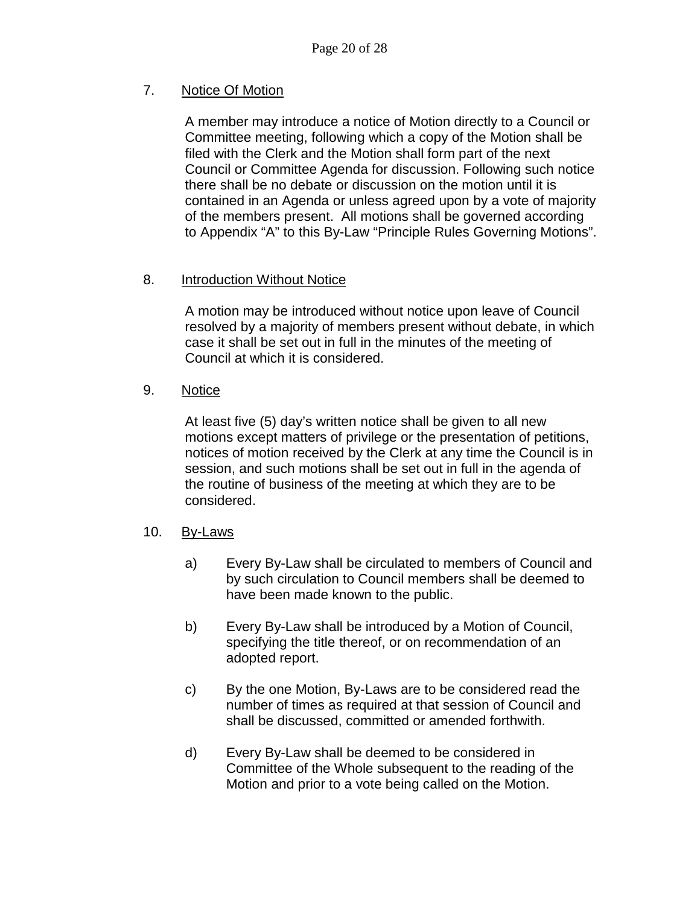## 7. Notice Of Motion

A member may introduce a notice of Motion directly to a Council or Committee meeting, following which a copy of the Motion shall be filed with the Clerk and the Motion shall form part of the next Council or Committee Agenda for discussion. Following such notice there shall be no debate or discussion on the motion until it is contained in an Agenda or unless agreed upon by a vote of majority of the members present. All motions shall be governed according to Appendix "A" to this By-Law "Principle Rules Governing Motions".

## 8. Introduction Without Notice

A motion may be introduced without notice upon leave of Council resolved by a majority of members present without debate, in which case it shall be set out in full in the minutes of the meeting of Council at which it is considered.

### 9. Notice

At least five (5) day's written notice shall be given to all new motions except matters of privilege or the presentation of petitions, notices of motion received by the Clerk at any time the Council is in session, and such motions shall be set out in full in the agenda of the routine of business of the meeting at which they are to be considered.

## 10. By-Laws

- a) Every By-Law shall be circulated to members of Council and by such circulation to Council members shall be deemed to have been made known to the public.
- b) Every By-Law shall be introduced by a Motion of Council, specifying the title thereof, or on recommendation of an adopted report.
- c) By the one Motion, By-Laws are to be considered read the number of times as required at that session of Council and shall be discussed, committed or amended forthwith.
- d) Every By-Law shall be deemed to be considered in Committee of the Whole subsequent to the reading of the Motion and prior to a vote being called on the Motion.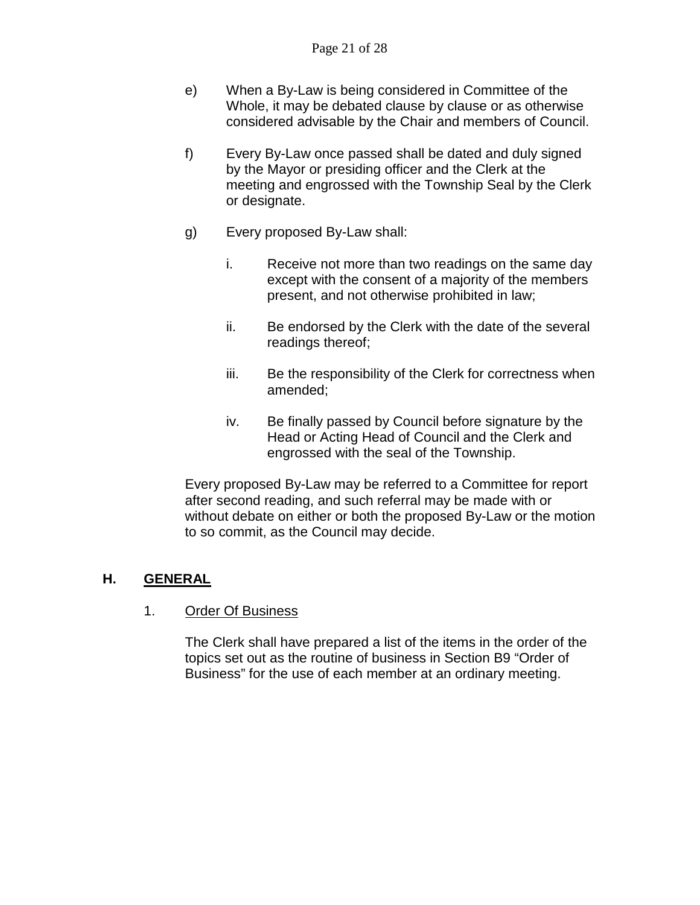- e) When a By-Law is being considered in Committee of the Whole, it may be debated clause by clause or as otherwise considered advisable by the Chair and members of Council.
- f) Every By-Law once passed shall be dated and duly signed by the Mayor or presiding officer and the Clerk at the meeting and engrossed with the Township Seal by the Clerk or designate.
- g) Every proposed By-Law shall:
	- i. Receive not more than two readings on the same day except with the consent of a majority of the members present, and not otherwise prohibited in law;
	- ii. Be endorsed by the Clerk with the date of the several readings thereof;
	- iii. Be the responsibility of the Clerk for correctness when amended;
	- iv. Be finally passed by Council before signature by the Head or Acting Head of Council and the Clerk and engrossed with the seal of the Township.

Every proposed By-Law may be referred to a Committee for report after second reading, and such referral may be made with or without debate on either or both the proposed By-Law or the motion to so commit, as the Council may decide.

## **H. GENERAL**

1. Order Of Business

The Clerk shall have prepared a list of the items in the order of the topics set out as the routine of business in Section B9 "Order of Business" for the use of each member at an ordinary meeting.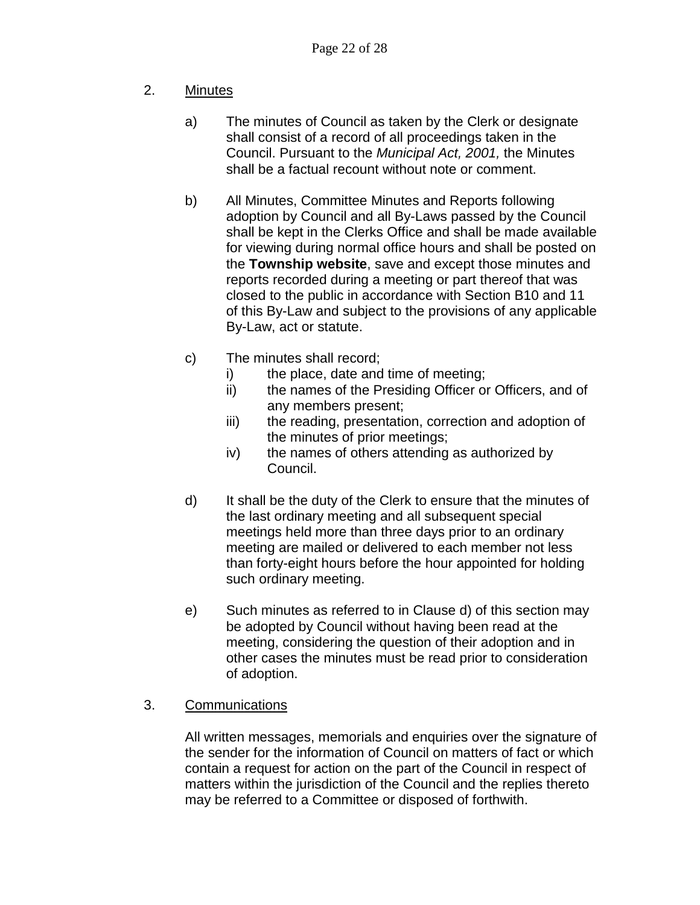## 2. Minutes

- a) The minutes of Council as taken by the Clerk or designate shall consist of a record of all proceedings taken in the Council. Pursuant to the *Municipal Act, 2001,* the Minutes shall be a factual recount without note or comment.
- b) All Minutes, Committee Minutes and Reports following adoption by Council and all By-Laws passed by the Council shall be kept in the Clerks Office and shall be made available for viewing during normal office hours and shall be posted on the **Township website**, save and except those minutes and reports recorded during a meeting or part thereof that was closed to the public in accordance with Section B10 and 11 of this By-Law and subject to the provisions of any applicable By-Law, act or statute.
- c) The minutes shall record;
	- i) the place, date and time of meeting;
	- ii) the names of the Presiding Officer or Officers, and of any members present;
	- iii) the reading, presentation, correction and adoption of the minutes of prior meetings;
	- iv) the names of others attending as authorized by Council.
- d) It shall be the duty of the Clerk to ensure that the minutes of the last ordinary meeting and all subsequent special meetings held more than three days prior to an ordinary meeting are mailed or delivered to each member not less than forty-eight hours before the hour appointed for holding such ordinary meeting.
- e) Such minutes as referred to in Clause d) of this section may be adopted by Council without having been read at the meeting, considering the question of their adoption and in other cases the minutes must be read prior to consideration of adoption.

## 3. Communications

All written messages, memorials and enquiries over the signature of the sender for the information of Council on matters of fact or which contain a request for action on the part of the Council in respect of matters within the jurisdiction of the Council and the replies thereto may be referred to a Committee or disposed of forthwith.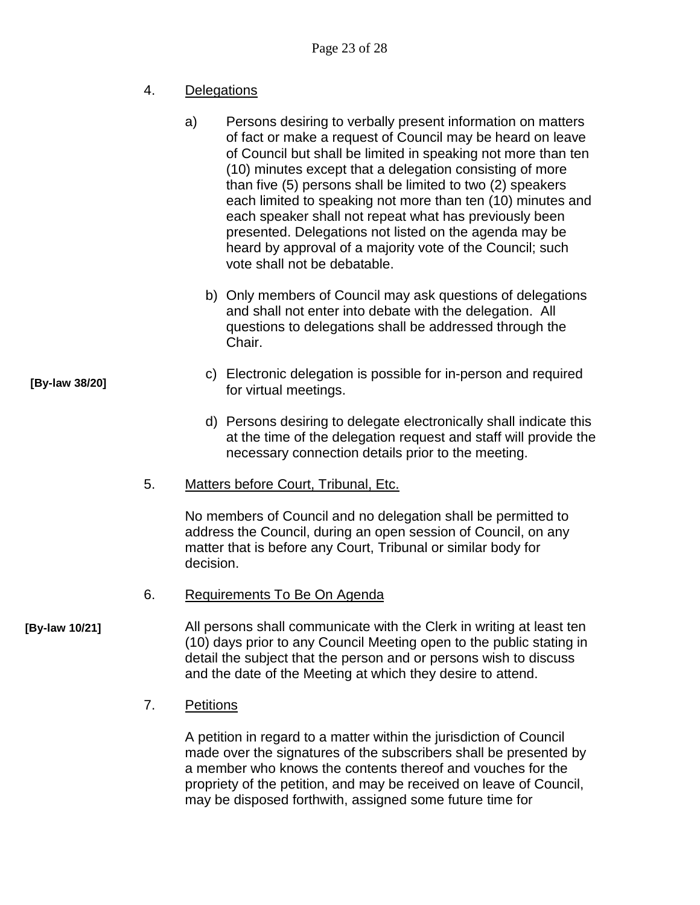## 4. Delegations

- a) Persons desiring to verbally present information on matters of fact or make a request of Council may be heard on leave of Council but shall be limited in speaking not more than ten (10) minutes except that a delegation consisting of more than five (5) persons shall be limited to two (2) speakers each limited to speaking not more than ten (10) minutes and each speaker shall not repeat what has previously been presented. Delegations not listed on the agenda may be heard by approval of a majority vote of the Council; such vote shall not be debatable.
	- b) Only members of Council may ask questions of delegations and shall not enter into debate with the delegation. All questions to delegations shall be addressed through the Chair.
- c) Electronic delegation is possible for in-person and required for virtual meetings.
	- d) Persons desiring to delegate electronically shall indicate this at the time of the delegation request and staff will provide the necessary connection details prior to the meeting.
- 5. Matters before Court, Tribunal, Etc.

No members of Council and no delegation shall be permitted to address the Council, during an open session of Council, on any matter that is before any Court, Tribunal or similar body for decision.

6. Requirements To Be On Agenda

All persons shall communicate with the Clerk in writing at least ten (10) days prior to any Council Meeting open to the public stating in detail the subject that the person and or persons wish to discuss and the date of the Meeting at which they desire to attend. **[By-law 10/21]**

7. Petitions

A petition in regard to a matter within the jurisdiction of Council made over the signatures of the subscribers shall be presented by a member who knows the contents thereof and vouches for the propriety of the petition, and may be received on leave of Council, may be disposed forthwith, assigned some future time for

**[By-law 38/20]**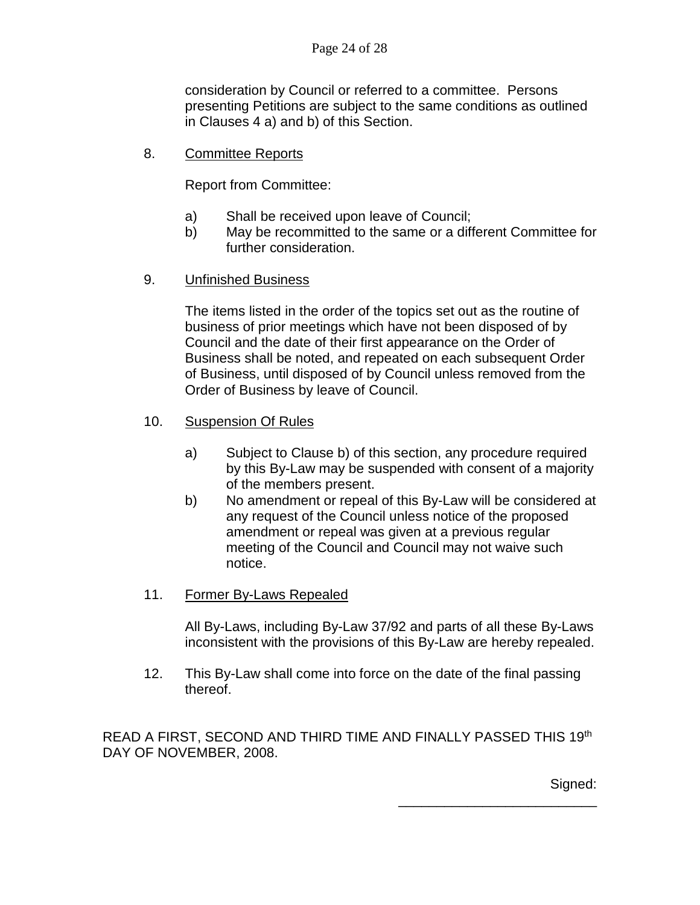consideration by Council or referred to a committee. Persons presenting Petitions are subject to the same conditions as outlined in Clauses 4 a) and b) of this Section.

8. Committee Reports

Report from Committee:

- a) Shall be received upon leave of Council;
- b) May be recommitted to the same or a different Committee for further consideration.
- 9. Unfinished Business

The items listed in the order of the topics set out as the routine of business of prior meetings which have not been disposed of by Council and the date of their first appearance on the Order of Business shall be noted, and repeated on each subsequent Order of Business, until disposed of by Council unless removed from the Order of Business by leave of Council.

- 10. Suspension Of Rules
	- a) Subject to Clause b) of this section, any procedure required by this By-Law may be suspended with consent of a majority of the members present.
	- b) No amendment or repeal of this By-Law will be considered at any request of the Council unless notice of the proposed amendment or repeal was given at a previous regular meeting of the Council and Council may not waive such notice.
- 11. Former By-Laws Repealed

All By-Laws, including By-Law 37/92 and parts of all these By-Laws inconsistent with the provisions of this By-Law are hereby repealed.

12. This By-Law shall come into force on the date of the final passing thereof.

READ A FIRST, SECOND AND THIRD TIME AND FINALLY PASSED THIS 19th DAY OF NOVEMBER, 2008.

Signed:

\_\_\_\_\_\_\_\_\_\_\_\_\_\_\_\_\_\_\_\_\_\_\_\_\_\_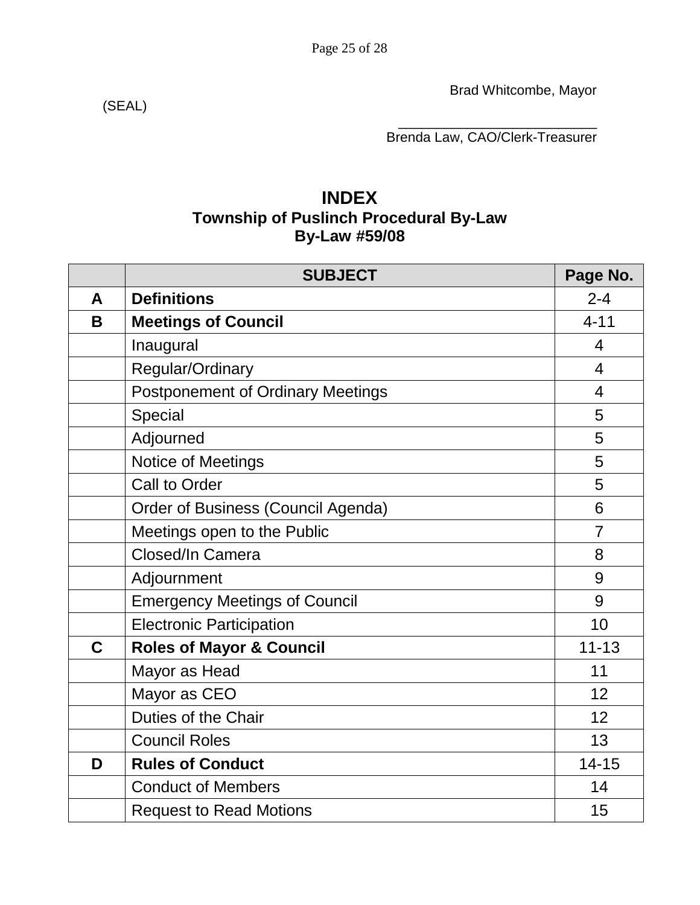Brad Whitcombe, Mayor

(SEAL)

\_\_\_\_\_\_\_\_\_\_\_\_\_\_\_\_\_\_\_\_\_\_\_\_\_\_ Brenda Law, CAO/Clerk-Treasurer

# **INDEX Township of Puslinch Procedural By-Law By-Law #59/08**

|   | <b>SUBJECT</b>                           | Page No.       |
|---|------------------------------------------|----------------|
| A | <b>Definitions</b>                       | $2 - 4$        |
| B | <b>Meetings of Council</b>               | $4 - 11$       |
|   | Inaugural                                | 4              |
|   | Regular/Ordinary                         | $\overline{4}$ |
|   | <b>Postponement of Ordinary Meetings</b> | $\overline{4}$ |
|   | Special                                  | 5              |
|   | Adjourned                                | 5              |
|   | Notice of Meetings                       | 5              |
|   | Call to Order                            | 5              |
|   | Order of Business (Council Agenda)       | 6              |
|   | Meetings open to the Public              | $\overline{7}$ |
|   | Closed/In Camera                         | 8              |
|   | Adjournment                              | 9              |
|   | <b>Emergency Meetings of Council</b>     | 9              |
|   | <b>Electronic Participation</b>          | 10             |
| C | <b>Roles of Mayor &amp; Council</b>      | $11 - 13$      |
|   | Mayor as Head                            | 11             |
|   | Mayor as CEO                             | 12             |
|   | Duties of the Chair                      | 12             |
|   | <b>Council Roles</b>                     | 13             |
| D | <b>Rules of Conduct</b>                  | $14 - 15$      |
|   | <b>Conduct of Members</b>                | 14             |
|   | <b>Request to Read Motions</b>           | 15             |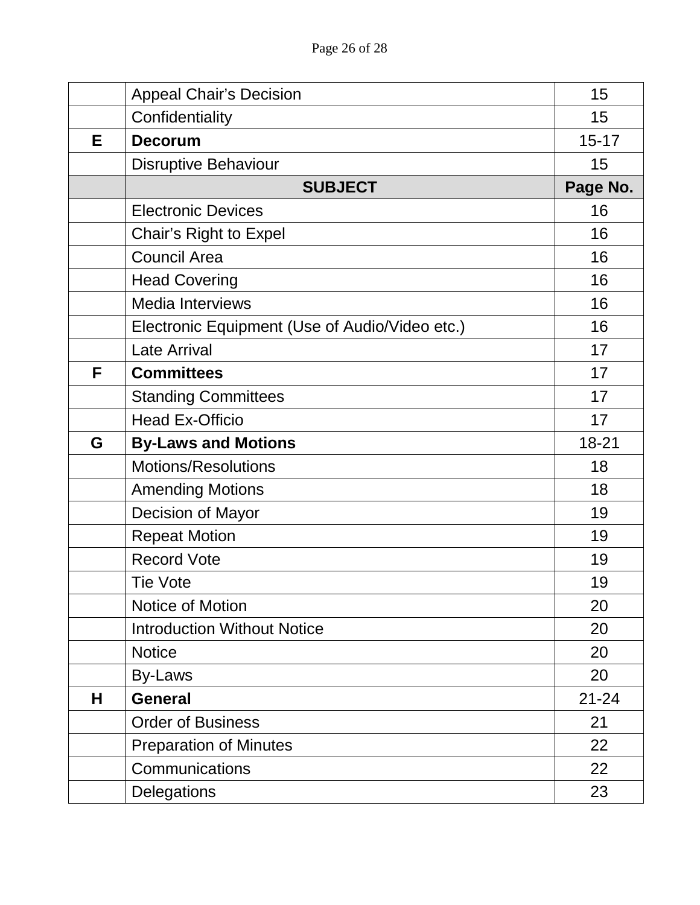|   | <b>Appeal Chair's Decision</b>                 | 15        |
|---|------------------------------------------------|-----------|
|   | Confidentiality                                | 15        |
| Е | <b>Decorum</b>                                 | $15 - 17$ |
|   | <b>Disruptive Behaviour</b>                    | 15        |
|   | <b>SUBJECT</b>                                 | Page No.  |
|   | <b>Electronic Devices</b>                      | 16        |
|   | Chair's Right to Expel                         | 16        |
|   | <b>Council Area</b>                            | 16        |
|   | <b>Head Covering</b>                           | 16        |
|   | <b>Media Interviews</b>                        | 16        |
|   | Electronic Equipment (Use of Audio/Video etc.) | 16        |
|   | <b>Late Arrival</b>                            | 17        |
| F | <b>Committees</b>                              | 17        |
|   | <b>Standing Committees</b>                     | 17        |
|   | <b>Head Ex-Officio</b>                         | 17        |
| G | <b>By-Laws and Motions</b>                     | 18-21     |
|   | <b>Motions/Resolutions</b>                     | 18        |
|   | <b>Amending Motions</b>                        | 18        |
|   | Decision of Mayor                              | 19        |
|   | <b>Repeat Motion</b>                           | 19        |
|   | <b>Record Vote</b>                             | 19        |
|   | <b>Tie Vote</b>                                | 19        |
|   | Notice of Motion                               | 20        |
|   | <b>Introduction Without Notice</b>             | 20        |
|   | <b>Notice</b>                                  | 20        |
|   | By-Laws                                        | 20        |
| Н | <b>General</b>                                 | $21 - 24$ |
|   | <b>Order of Business</b>                       | 21        |
|   | <b>Preparation of Minutes</b>                  | 22        |
|   | Communications                                 | 22        |
|   | <b>Delegations</b>                             | 23        |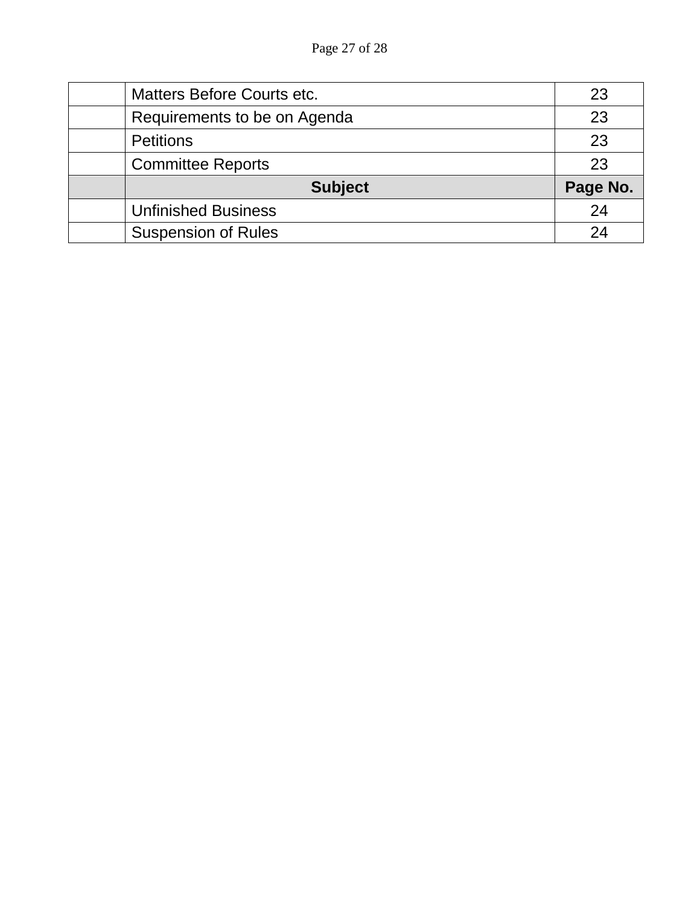| <b>Matters Before Courts etc.</b> | 23       |
|-----------------------------------|----------|
| Requirements to be on Agenda      | 23       |
| <b>Petitions</b>                  | 23       |
| <b>Committee Reports</b>          | 23       |
| <b>Subject</b>                    | Page No. |
| <b>Unfinished Business</b>        | 24       |
| <b>Suspension of Rules</b>        | 24       |